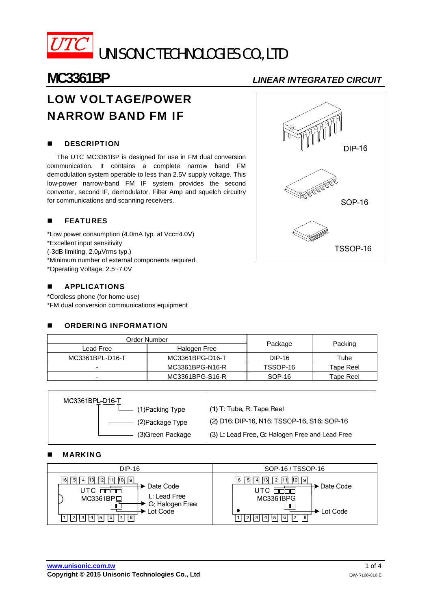

# LOW VOLTAGE/POWER NARROW BAND FM IF

# **DESCRIPTION**

The UTC MC3361BP is designed for use in FM dual conversion communication. It contains a complete narrow band FM demodulation system operable to less than 2.5V supply voltage. This low-power narrow-band FM IF system provides the second converter, second IF, demodulator. Filter Amp and squelch circuitry for communications and scanning receivers.

# **FEATURES**

\*Low power consumption (4.0mA typ. at Vcc=4.0V) \*Excellent input sensitivity (-3dB limiting, 2.0uVrms typ.) \*Minimum number of external components required. \*Operating Voltage: 2.5~7.0V

# **APPLICATIONS**

\*Cordless phone (for home use) \*FM dual conversion communications equipment

|           | <b>ORDERING INFORMATION</b> |                 |          |           |  |
|-----------|-----------------------------|-----------------|----------|-----------|--|
|           |                             | Order Number    |          |           |  |
| Lead Free |                             | Halogen Free    | Package  | Packing   |  |
|           | MC3361BPL-D16-T             | MC3361BPG-D16-T | DIP-16   | Tube      |  |
|           |                             | MC3361BPG-N16-R | TSSOP-16 | Tape Reel |  |
|           |                             | MC3361BPG-S16-R | SOP-16   | Tape Reel |  |

| MC3361BPL-D16-T |                   |                                                 |
|-----------------|-------------------|-------------------------------------------------|
|                 | (1) Packing Type  | (1) T: Tube, R: Tape Reel                       |
|                 | (2) Package Type  | (2) D16: DIP-16, N16: TSSOP-16, S16: SOP-16     |
|                 | (3) Green Package | (3) L: Lead Free, G: Halogen Free and Lead Free |
|                 |                   |                                                 |

### MARKING

| DIP-16                                                                                                                                                        | SOP-16 / TSSOP-16                                                                                                                  |
|---------------------------------------------------------------------------------------------------------------------------------------------------------------|------------------------------------------------------------------------------------------------------------------------------------|
| 12<br> 16   15   14   13 <br>111<br>10   9<br>► Date Code<br>L: Lead Free<br>$MC3361BP$ $\square$<br>G: Halogen Free<br>Lot Code<br> 8 <br>` 2  3  4  5  6  7 | 13 <br>-12 11 10 19<br>116 115 114<br>► Date Code<br>UTC<br>MC3361BPG<br>► Lot Code<br>$ 4 $ $ 5 $ $ 6 $ $ 7 $ $ 8 $<br> 3 <br>  2 |



**TSSOP-16** 

**www.unisonic.com.tw** 1 of 4 **Copyright © 2015 Unisonic Technologies Co., Ltd Communication Communication COV-R108-010.E**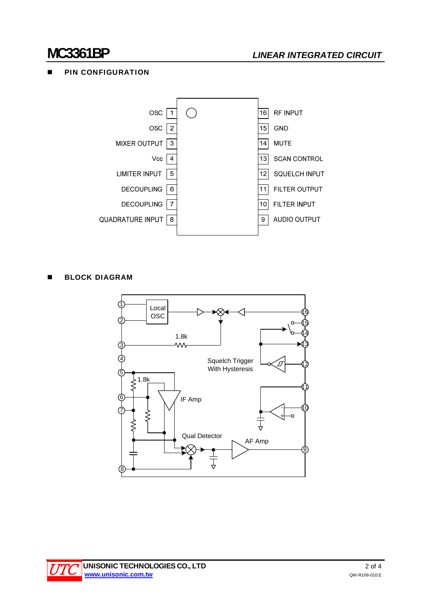# **PIN CONFIGURATION**



**BLOCK DIAGRAM** 



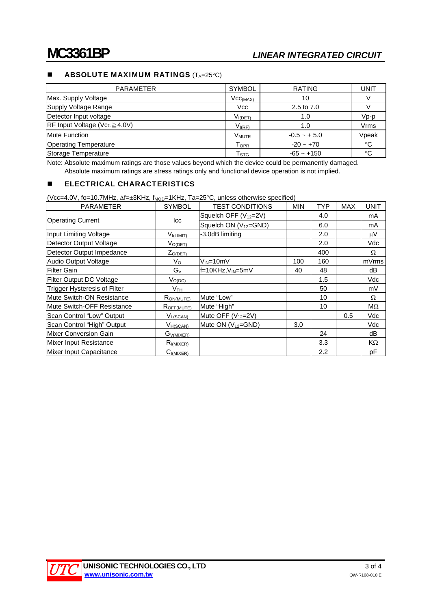# **ABSOLUTE MAXIMUM RATINGS**  $(T_A=25^{\circ}C)$

| <b>PARAMETER</b>                                       | <b>SYMBOL</b>        | <b>RATING</b>  | UNIT        |
|--------------------------------------------------------|----------------------|----------------|-------------|
| Max. Supply Voltage                                    | Vcc <sub>(MAX)</sub> | 10             |             |
| Supply Voltage Range                                   | <b>Vcc</b>           | 2.5 to 7.0     |             |
| Detector Input voltage                                 | $V_{I(DET)}$         | 1.0            | $Vp-p$      |
| $\overline{\text{RF}}$ Input Voltage (Vcc $\geq$ 4.0V) | $V_{I(RF)}$          | 1.0            | Vrms        |
| <b>Mute Function</b>                                   | V <sub>MUTE</sub>    | $-0.5 - + 5.0$ | Vpeak       |
| <b>Operating Temperature</b>                           | $T_{\mathsf{OPR}}$   | $-20 - +70$    | $^{\circ}C$ |
| Storage Temperature                                    | T <sub>STG</sub>     | $-65 - +150$   | °C          |

Note: Absolute maximum ratings are those values beyond which the device could be permanently damaged. Absolute maximum ratings are stress ratings only and functional device operation is not implied.

# **ELECTRICAL CHARACTERISTICS**

(Vcc=4.0V, fo=10.7MHz,  $\Delta f$ =±3KHz, f<sub>MOD</sub>=1KHz, Ta=25°C, unless otherwise specified)

| <b>PARAMETER</b>                    | SYMBOL          | <b>TEST CONDITIONS</b>            | <b>MIN</b> | <b>TYP</b>       | <b>MAX</b> | <b>UNIT</b> |
|-------------------------------------|-----------------|-----------------------------------|------------|------------------|------------|-------------|
|                                     |                 | Squelch OFF (V <sub>12</sub> =2V) |            | 4.0              |            | mA          |
| <b>Operating Current</b>            | lcc             | Squelch ON $(V_{12} = GND)$       |            | 6.0              |            | mA          |
| Input Limiting Voltage              | $V_{I(LIMIT)}$  | -3.0dB limiting                   |            | 2.0              |            | $\mu$ V     |
| Detector Output Voltage             | $V_{O(DET)}$    |                                   |            | 2.0              |            | Vdc         |
| Detector Output Impedance           | $Z_{O(DET)}$    |                                   |            | 400              |            | Ω           |
| Audio Output Voltage                | $V_{\rm O}$     | V <sub>IN</sub> =10mV             | 100        | 160              |            | mVrms       |
| <b>Filter Gain</b>                  | $G_V$           | $f=10KHz, V_{IN}=5mV$             | 40         | 48               |            | dB          |
| Filter Output DC Voltage            | $V_{O(DC)}$     |                                   |            | 1.5              |            | Vdc         |
| <b>Trigger Hysteresis of Filter</b> | $V_{\sf TH}$    |                                   |            | 50               |            | mV          |
| Mute Switch-ON Resistance           | $R_{ON(MUTE)}$  | Mute "Low"                        |            | 10               |            | Ω           |
| Mute Switch-OFF Resistance          | $R_{OFF(MUTE)}$ | Mute "High"                       |            | 10               |            | $M\Omega$   |
| Scan Control "Low" Output           | $V_{L(SCAN)}$   | Mute OFF (V <sub>12</sub> =2V)    |            |                  | 0.5        | Vdc         |
| Scan Control "High" Output          | $V_{H(SCAN)}$   | Mute ON (V <sub>12</sub> =GND)    | 3.0        |                  |            | Vdc         |
| Mixer Conversion Gain               | $G_{V(MIXER)}$  |                                   |            | 24               |            | dB          |
| Mixer Input Resistance              | $R_{I(MIXER)}$  |                                   |            | 3.3 <sub>2</sub> |            | KΩ          |
| Mixer Input Capacitance             | $C_{I(MIXER)}$  |                                   |            | 2.2              |            | pF          |